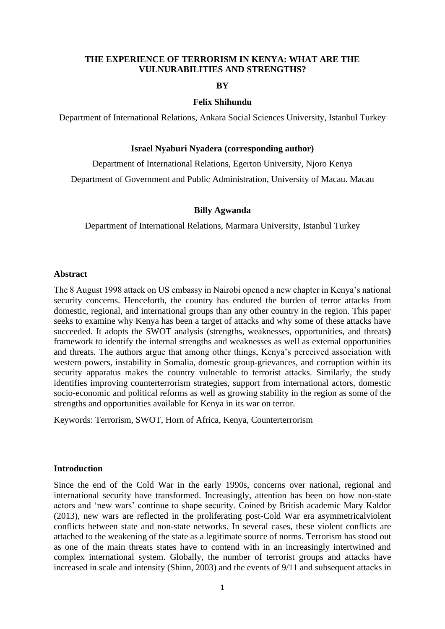### **THE EXPERIENCE OF TERRORISM IN KENYA: WHAT ARE THE VULNURABILITIES AND STRENGTHS?**

### **BY**

#### **Felix Shihundu**

Department of International Relations, Ankara Social Sciences University, Istanbul Turkey

### **Israel Nyaburi Nyadera (corresponding author)**

Department of International Relations, Egerton University, Njoro Kenya Department of Government and Public Administration, University of Macau. Macau

## **Billy Agwanda**

Department of International Relations, Marmara University, Istanbul Turkey

## **Abstract**

The 8 August 1998 attack on US embassy in Nairobi opened a new chapter in Kenya's national security concerns. Henceforth, the country has endured the burden of terror attacks from domestic, regional, and international groups than any other country in the region. This paper seeks to examine why Kenya has been a target of attacks and why some of these attacks have succeeded. It adopts the SWOT analysis (strengths, weaknesses, opportunities, and threats**)** framework to identify the internal strengths and weaknesses as well as external opportunities and threats. The authors argue that among other things, Kenya's perceived association with western powers, instability in Somalia, domestic group-grievances, and corruption within its security apparatus makes the country vulnerable to terrorist attacks. Similarly, the study identifies improving counterterrorism strategies, support from international actors, domestic socio-economic and political reforms as well as growing stability in the region as some of the strengths and opportunities available for Kenya in its war on terror.

Keywords: Terrorism, SWOT, Horn of Africa, Kenya, Counterterrorism

#### **Introduction**

Since the end of the Cold War in the early 1990s, concerns over national, regional and international security have transformed. Increasingly, attention has been on how non-state actors and 'new wars' continue to shape security. Coined by British academic Mary Kaldor (2013), new wars are reflected in the proliferating post-Cold War era asymmetricalviolent conflicts between state and non-state networks. In several cases, these violent conflicts are attached to the weakening of the state as a legitimate source of norms. Terrorism has stood out as one of the main threats states have to contend with in an increasingly intertwined and complex international system. Globally, the number of terrorist groups and attacks have increased in scale and intensity (Shinn, 2003) and the events of 9/11 and subsequent attacks in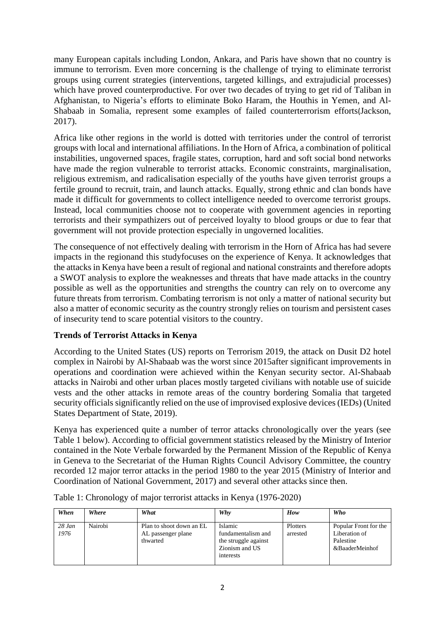many European capitals including London, Ankara, and Paris have shown that no country is immune to terrorism. Even more concerning is the challenge of trying to eliminate terrorist groups using current strategies (interventions, targeted killings, and extrajudicial processes) which have proved counterproductive. For over two decades of trying to get rid of Taliban in Afghanistan, to Nigeria's efforts to eliminate Boko Haram, the Houthis in Yemen, and Al-Shabaab in Somalia, represent some examples of failed counterterrorism efforts(Jackson, 2017).

Africa like other regions in the world is dotted with territories under the control of terrorist groups with local and international affiliations. In the Horn of Africa, a combination of political instabilities, ungoverned spaces, fragile states, corruption, hard and soft social bond networks have made the region vulnerable to terrorist attacks. Economic constraints, marginalisation, religious extremism, and radicalisation especially of the youths have given terrorist groups a fertile ground to recruit, train, and launch attacks. Equally, strong ethnic and clan bonds have made it difficult for governments to collect intelligence needed to overcome terrorist groups. Instead, local communities choose not to cooperate with government agencies in reporting terrorists and their sympathizers out of perceived loyalty to blood groups or due to fear that government will not provide protection especially in ungoverned localities.

The consequence of not effectively dealing with terrorism in the Horn of Africa has had severe impacts in the regionand this studyfocuses on the experience of Kenya. It acknowledges that the attacks in Kenya have been a result of regional and national constraints and therefore adopts a SWOT analysis to explore the weaknesses and threats that have made attacks in the country possible as well as the opportunities and strengths the country can rely on to overcome any future threats from terrorism. Combating terrorism is not only a matter of national security but also a matter of economic security as the country strongly relies on tourism and persistent cases of insecurity tend to scare potential visitors to the country.

# **Trends of Terrorist Attacks in Kenya**

According to the United States (US) reports on Terrorism 2019, the attack on Dusit D2 hotel complex in Nairobi by Al-Shabaab was the worst since 2015after significant improvements in operations and coordination were achieved within the Kenyan security sector. Al-Shabaab attacks in Nairobi and other urban places mostly targeted civilians with notable use of suicide vests and the other attacks in remote areas of the country bordering Somalia that targeted security officials significantly relied on the use of improvised explosive devices (IEDs) (United States Department of State, 2019).

Kenya has experienced quite a number of terror attacks chronologically over the years (see Table 1 below). According to official government statistics released by the Ministry of Interior contained in the Note Verbale forwarded by the Permanent Mission of the Republic of Kenya in Geneva to the Secretariat of the Human Rights Council Advisory Committee, the country recorded 12 major terror attacks in the period 1980 to the year 2015 (Ministry of Interior and Coordination of National Government, 2017) and several other attacks since then.

| When             | Where   | What                                                       | Why                                                                                         | How                  | Who                                                                   |
|------------------|---------|------------------------------------------------------------|---------------------------------------------------------------------------------------------|----------------------|-----------------------------------------------------------------------|
| $28$ Jan<br>1976 | Nairobi | Plan to shoot down an EL<br>AL passenger plane<br>thwarted | <b>Islamic</b><br>fundamentalism and<br>the struggle against<br>Zionism and US<br>interests | Plotters<br>arrested | Popular Front for the<br>Liberation of<br>Palestine<br>&BaaderMeinhof |

Table 1: Chronology of major terrorist attacks in Kenya (1976-2020)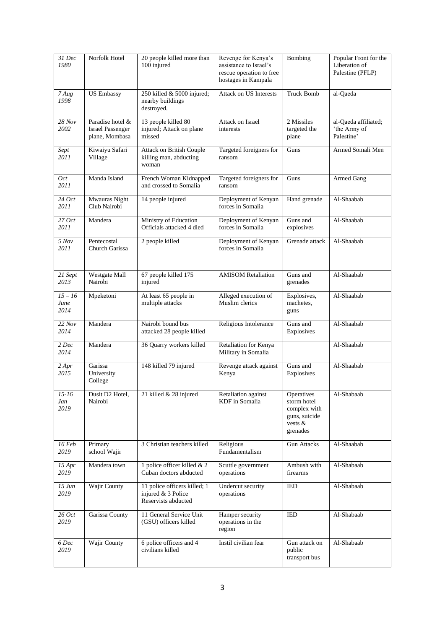| 31 Dec<br>1980               | Norfolk Hotel                                                 | 20 people killed more than<br>100 injured                                 | Revenge for Kenya's<br>assistance to Israel's<br>rescue operation to free<br>hostages in Kampala | Bombing                                                                           | Popular Front for the<br>Liberation of<br>Palestine (PFLP) |
|------------------------------|---------------------------------------------------------------|---------------------------------------------------------------------------|--------------------------------------------------------------------------------------------------|-----------------------------------------------------------------------------------|------------------------------------------------------------|
| 7 Aug<br>1998                | <b>US Embassy</b>                                             | 250 killed & 5000 injured;<br>nearby buildings<br>destroyed.              | Attack on US Interests                                                                           | <b>Truck Bomb</b>                                                                 | al-Qaeda                                                   |
| 28 Nov<br>2002               | Paradise hotel &<br><b>Israel Passenger</b><br>plane, Mombasa | 13 people killed 80<br>injured; Attack on plane<br>missed                 | Attack on Israel<br>interests                                                                    | 2 Missiles<br>targeted the<br>plane                                               | al-Qaeda affiliated;<br>'the Army of<br>Palestine'         |
| Sept<br>2011                 | Kiwaiyu Safari<br>Village                                     | Attack on British Couple<br>killing man, abducting<br>woman               | Targeted foreigners for<br>ransom                                                                | Guns                                                                              | Armed Somali Men                                           |
| 0ct<br>2011                  | Manda Island                                                  | French Woman Kidnapped<br>and crossed to Somalia                          | Targeted foreigners for<br>ransom                                                                | Guns                                                                              | Armed Gang                                                 |
| 24 Oct<br>2011               | Mwauras Night<br>Club Nairobi                                 | 14 people injured                                                         | Deployment of Kenyan<br>forces in Somalia                                                        | Hand grenade                                                                      | Al-Shaabab                                                 |
| 27 Oct<br>2011               | Mandera                                                       | Ministry of Education<br>Officials attacked 4 died                        | Deployment of Kenyan<br>forces in Somalia                                                        | Guns and<br>explosives                                                            | Al-Shaabab                                                 |
| 5 Nov<br>2011                | Pentecostal<br>Church Garissa                                 | 2 people killed                                                           | Deployment of Kenyan<br>forces in Somalia                                                        | Grenade attack                                                                    | Al-Shaabab                                                 |
| 21 Sept<br>2013              | Westgate Mall<br>Nairobi                                      | 67 people killed 175<br>injured                                           | <b>AMISOM Retaliation</b>                                                                        | Guns and<br>grenades                                                              | Al-Shaabab                                                 |
| $15 - 16$<br>June<br>2014    | Mpeketoni                                                     | At least 65 people in<br>multiple attacks                                 | Alleged execution of<br>Muslim clerics                                                           | Explosives,<br>machetes,<br>guns                                                  | Al-Shaabab                                                 |
| 22 Nov<br>2014               | Mandera                                                       | Nairobi bound bus<br>attacked 28 people killed                            | Religious Intolerance                                                                            | Guns and<br>Explosives                                                            | Al-Shaabab                                                 |
| 2 Dec<br>2014                | Mandera                                                       | 36 Quarry workers killed                                                  | Retaliation for Kenya<br>Military in Somalia                                                     |                                                                                   | Al-Shaabab                                                 |
| 2 Apr<br>2015                | Garissa<br>University<br>College                              | 148 killed 79 injured                                                     | Revenge attack against<br>Kenya                                                                  | Guns and<br>Explosives                                                            | Al-Shaabab                                                 |
| $15 - 16$<br>Jan<br>2019     | Dusit D2 Hotel,<br>Nairobi                                    | 21 killed & 28 injured                                                    | Retaliation against<br>KDF in Somalia                                                            | Operatives<br>storm hotel<br>complex with<br>guns, suicide<br>vests &<br>grenades | Al-Shabaab                                                 |
| 16 Feb<br>2019               | Primary<br>school Wajir                                       | 3 Christian teachers killed                                               | Religious<br>Fundamentalism                                                                      | <b>Gun Attacks</b>                                                                | Al-Shaabab                                                 |
| 15 Apr<br>2019               | Mandera town                                                  | 1 police officer killed & 2<br>Cuban doctors abducted                     | Scuttle government<br>operations                                                                 | Ambush with<br>firearms                                                           | Al-Shabaab                                                 |
| $15 \, \textit{Jun}$<br>2019 | Wajir County                                                  | 11 police officers killed; 1<br>injured & 3 Police<br>Reservists abducted | Undercut security<br>operations                                                                  | IED                                                                               | Al-Shabaab                                                 |
| 26 Oct<br>2019               | Garissa County                                                | 11 General Service Unit<br>(GSU) officers killed                          | Hamper security<br>operations in the<br>region                                                   | <b>IED</b>                                                                        | Al-Shabaab                                                 |
| 6 Dec<br>2019                | Wajir County                                                  | 6 police officers and 4<br>civilians killed                               | Instil civilian fear                                                                             | Gun attack on<br>public<br>transport bus                                          | Al-Shabaab                                                 |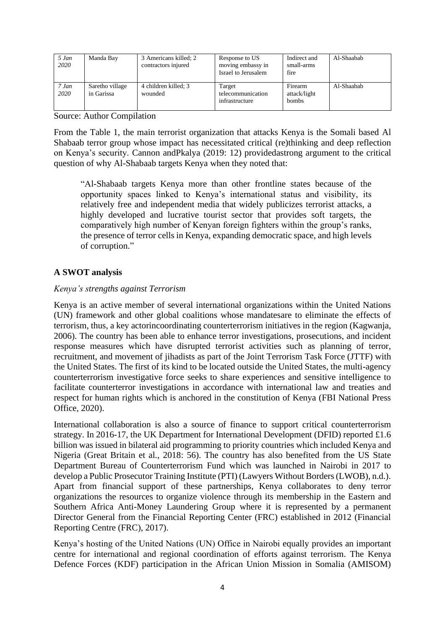| 5 Jan<br>2020 | Manda Bay                     | 3 Americans killed; 2<br>contractors injured | Response to US<br>moving embassy in<br>Israel to Jerusalem | Indirect and<br>small-arms<br>fire | Al-Shaabab |
|---------------|-------------------------------|----------------------------------------------|------------------------------------------------------------|------------------------------------|------------|
| 7 Jan<br>2020 | Saretho village<br>in Garissa | 4 children killed; 3<br>wounded              | Target<br>telecommunication<br>infrastructure              | Firearm<br>attack/light<br>bombs   | Al-Shaabab |

Source: Author Compilation

From the Table 1, the main terrorist organization that attacks Kenya is the Somali based Al Shabaab terror group whose impact has necessitated critical (re)thinking and deep reflection on Kenya's security. Cannon andPkalya (2019: 12) providedastrong argument to the critical question of why Al-Shabaab targets Kenya when they noted that:

"Al-Shabaab targets Kenya more than other frontline states because of the opportunity spaces linked to Kenya's international status and visibility, its relatively free and independent media that widely publicizes terrorist attacks, a highly developed and lucrative tourist sector that provides soft targets, the comparatively high number of Kenyan foreign fighters within the group's ranks, the presence of terror cells in Kenya, expanding democratic space, and high levels of corruption."

# **A SWOT analysis**

# *Kenya's strengths against Terrorism*

Kenya is an active member of several international organizations within the United Nations (UN) framework and other global coalitions whose mandatesare to eliminate the effects of terrorism, thus, a key actorincoordinating counterterrorism initiatives in the region (Kagwanja, 2006). The country has been able to enhance terror investigations, prosecutions, and incident response measures which have disrupted terrorist activities such as planning of terror, recruitment, and movement of jihadists as part of the Joint Terrorism Task Force (JTTF) with the United States. The first of its kind to be located outside the United States, the multi-agency counterterrorism investigative force seeks to share experiences and sensitive intelligence to facilitate counterterror investigations in accordance with international law and treaties and respect for human rights which is anchored in the constitution of Kenya (FBI National Press Office, 2020).

International collaboration is also a source of finance to support critical counterterrorism strategy. In 2016-17, the UK Department for International Development (DFID) reported £1.6 billion was issued in bilateral aid programming to priority countries which included Kenya and Nigeria (Great Britain et al., 2018: 56). The country has also benefited from the US State Department Bureau of Counterterrorism Fund which was launched in Nairobi in 2017 to develop a Public Prosecutor Training Institute (PTI) (Lawyers Without Borders (LWOB), n.d.). Apart from financial support of these partnerships, Kenya collaborates to deny terror organizations the resources to organize violence through its membership in the Eastern and Southern Africa Anti-Money Laundering Group where it is represented by a permanent Director General from the Financial Reporting Center (FRC) established in 2012 (Financial Reporting Centre (FRC), 2017).

Kenya's hosting of the United Nations (UN) Office in Nairobi equally provides an important centre for international and regional coordination of efforts against terrorism. The Kenya Defence Forces (KDF) participation in the African Union Mission in Somalia (AMISOM)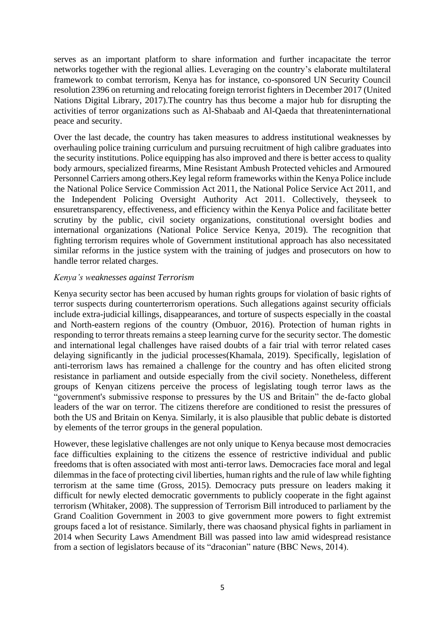serves as an important platform to share information and further incapacitate the terror networks together with the regional allies. Leveraging on the country's elaborate multilateral framework to combat terrorism, Kenya has for instance, co-sponsored UN Security Council resolution 2396 on returning and relocating foreign terrorist fighters in December 2017 (United Nations Digital Library, 2017).The country has thus become a major hub for disrupting the activities of terror organizations such as Al-Shabaab and Al-Qaeda that threateninternational peace and security.

Over the last decade, the country has taken measures to address institutional weaknesses by overhauling police training curriculum and pursuing recruitment of high calibre graduates into the security institutions. Police equipping has also improved and there is better access to quality body armours, specialized firearms, Mine Resistant Ambush Protected vehicles and Armoured Personnel Carriers among others.Key legal reform frameworks within the Kenya Police include the National Police Service Commission Act 2011, the National Police Service Act 2011, and the Independent Policing Oversight Authority Act 2011. Collectively, theyseek to ensuretransparency, effectiveness, and efficiency within the Kenya Police and facilitate better scrutiny by the public, civil society organizations, constitutional oversight bodies and international organizations (National Police Service Kenya, 2019). The recognition that fighting terrorism requires whole of Government institutional approach has also necessitated similar reforms in the justice system with the training of judges and prosecutors on how to handle terror related charges.

# *Kenya's weaknesses against Terrorism*

Kenya security sector has been accused by human rights groups for violation of basic rights of terror suspects during counterterrorism operations. Such allegations against security officials include extra-judicial killings, disappearances, and torture of suspects especially in the coastal and North-eastern regions of the country (Ombuor, 2016). Protection of human rights in responding to terror threats remains a steep learning curve for the security sector. The domestic and international legal challenges have raised doubts of a fair trial with terror related cases delaying significantly in the judicial processes(Khamala, 2019). Specifically, legislation of anti-terrorism laws has remained a challenge for the country and has often elicited strong resistance in parliament and outside especially from the civil society. Nonetheless, different groups of Kenyan citizens perceive the process of legislating tough terror laws as the "government's submissive response to pressures by the US and Britain" the de-facto global leaders of the war on terror. The citizens therefore are conditioned to resist the pressures of both the US and Britain on Kenya. Similarly, it is also plausible that public debate is distorted by elements of the terror groups in the general population.

However, these legislative challenges are not only unique to Kenya because most democracies face difficulties explaining to the citizens the essence of restrictive individual and public freedoms that is often associated with most anti-terror laws. Democracies face moral and legal dilemmas in the face of protecting civil liberties, human rights and the rule of law while fighting terrorism at the same time (Gross, 2015). Democracy puts pressure on leaders making it difficult for newly elected democratic governments to publicly cooperate in the fight against terrorism (Whitaker, 2008). The suppression of Terrorism Bill introduced to parliament by the Grand Coalition Government in 2003 to give government more powers to fight extremist groups faced a lot of resistance. Similarly, there was chaosand physical fights in parliament in 2014 when Security Laws Amendment Bill was passed into law amid widespread resistance from a section of legislators because of its "draconian" nature (BBC News, 2014).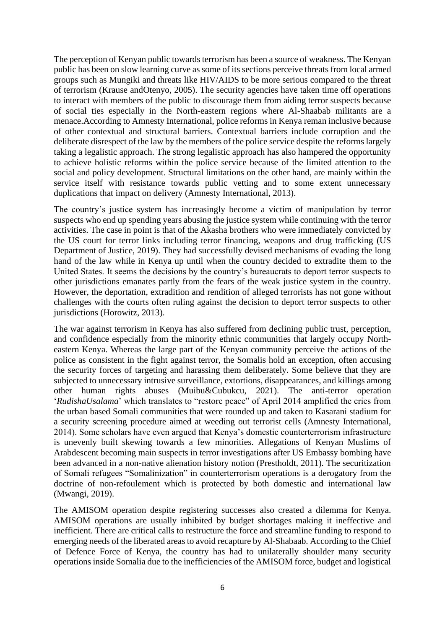The perception of Kenyan public towards terrorism has been a source of weakness. The Kenyan public has been on slow learning curve as some of its sections perceive threats from local armed groups such as Mungiki and threats like HIV/AIDS to be more serious compared to the threat of terrorism (Krause andOtenyo, 2005). The security agencies have taken time off operations to interact with members of the public to discourage them from aiding terror suspects because of social ties especially in the North-eastern regions where Al-Shaabab militants are a menace.According to Amnesty International, police reforms in Kenya reman inclusive because of other contextual and structural barriers. Contextual barriers include corruption and the deliberate disrespect of the law by the members of the police service despite the reforms largely taking a legalistic approach. The strong legalistic approach has also hampered the opportunity to achieve holistic reforms within the police service because of the limited attention to the social and policy development. Structural limitations on the other hand, are mainly within the service itself with resistance towards public vetting and to some extent unnecessary duplications that impact on delivery (Amnesty International, 2013).

The country's justice system has increasingly become a victim of manipulation by terror suspects who end up spending years abusing the justice system while continuing with the terror activities. The case in point is that of the Akasha brothers who were immediately convicted by the US court for terror links including terror financing, weapons and drug trafficking (US Department of Justice, 2019). They had successfully devised mechanisms of evading the long hand of the law while in Kenya up until when the country decided to extradite them to the United States. It seems the decisions by the country's bureaucrats to deport terror suspects to other jurisdictions emanates partly from the fears of the weak justice system in the country. However, the deportation, extradition and rendition of alleged terrorists has not gone without challenges with the courts often ruling against the decision to deport terror suspects to other jurisdictions (Horowitz, 2013).

The war against terrorism in Kenya has also suffered from declining public trust, perception, and confidence especially from the minority ethnic communities that largely occupy Northeastern Kenya. Whereas the large part of the Kenyan community perceive the actions of the police as consistent in the fight against terror, the Somalis hold an exception, often accusing the security forces of targeting and harassing them deliberately. Some believe that they are subjected to unnecessary intrusive surveillance, extortions, disappearances, and killings among other human rights abuses (Muibu&Cubukcu, 2021). The anti-terror operation '*RudishaUsalama*' which translates to "restore peace" of April 2014 amplified the cries from the urban based Somali communities that were rounded up and taken to Kasarani stadium for a security screening procedure aimed at weeding out terrorist cells (Amnesty International, 2014). Some scholars have even argued that Kenya's domestic counterterrorism infrastructure is unevenly built skewing towards a few minorities. Allegations of Kenyan Muslims of Arabdescent becoming main suspects in terror investigations after US Embassy bombing have been advanced in a non-native alienation history notion (Prestholdt, 2011). The securitization of Somali refugees "Somalinization" in counterterrorism operations is a derogatory from the doctrine of non-refoulement which is protected by both domestic and international law (Mwangi, 2019).

The AMISOM operation despite registering successes also created a dilemma for Kenya. AMISOM operations are usually inhibited by budget shortages making it ineffective and inefficient. There are critical calls to restructure the force and streamline funding to respond to emerging needs of the liberated areas to avoid recapture by Al-Shabaab. According to the Chief of Defence Force of Kenya, the country has had to unilaterally shoulder many security operations inside Somalia due to the inefficiencies of the AMISOM force, budget and logistical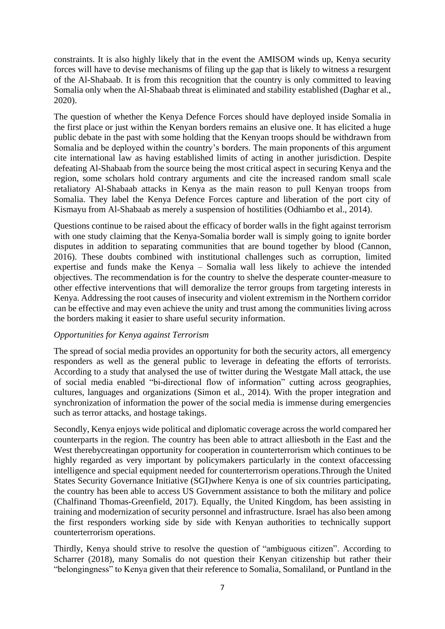constraints. It is also highly likely that in the event the AMISOM winds up, Kenya security forces will have to devise mechanisms of filing up the gap that is likely to witness a resurgent of the Al-Shabaab. It is from this recognition that the country is only committed to leaving Somalia only when the Al-Shabaab threat is eliminated and stability established (Daghar et al., 2020).

The question of whether the Kenya Defence Forces should have deployed inside Somalia in the first place or just within the Kenyan borders remains an elusive one. It has elicited a huge public debate in the past with some holding that the Kenyan troops should be withdrawn from Somalia and be deployed within the country's borders. The main proponents of this argument cite international law as having established limits of acting in another jurisdiction. Despite defeating Al-Shabaab from the source being the most critical aspect in securing Kenya and the region, some scholars hold contrary arguments and cite the increased random small scale retaliatory Al-Shabaab attacks in Kenya as the main reason to pull Kenyan troops from Somalia. They label the Kenya Defence Forces capture and liberation of the port city of Kismayu from Al-Shabaab as merely a suspension of hostilities (Odhiambo et al., 2014).

Questions continue to be raised about the efficacy of border walls in the fight against terrorism with one study claiming that the Kenya-Somalia border wall is simply going to ignite border disputes in addition to separating communities that are bound together by blood (Cannon, 2016). These doubts combined with institutional challenges such as corruption, limited expertise and funds make the Kenya – Somalia wall less likely to achieve the intended objectives. The recommendation is for the country to shelve the desperate counter-measure to other effective interventions that will demoralize the terror groups from targeting interests in Kenya. Addressing the root causes of insecurity and violent extremism in the Northern corridor can be effective and may even achieve the unity and trust among the communities living across the borders making it easier to share useful security information.

# *Opportunities for Kenya against Terrorism*

The spread of social media provides an opportunity for both the security actors, all emergency responders as well as the general public to leverage in defeating the efforts of terrorists. According to a study that analysed the use of twitter during the Westgate Mall attack, the use of social media enabled "bi-directional flow of information" cutting across geographies, cultures, languages and organizations (Simon et al., 2014). With the proper integration and synchronization of information the power of the social media is immense during emergencies such as terror attacks, and hostage takings.

Secondly, Kenya enjoys wide political and diplomatic coverage across the world compared her counterparts in the region. The country has been able to attract alliesboth in the East and the West therebycreatingan opportunity for cooperation in counterterrorism which continues to be highly regarded as very important by policymakers particularly in the context ofaccessing intelligence and special equipment needed for counterterrorism operations.Through the United States Security Governance Initiative (SGI)where Kenya is one of six countries participating, the country has been able to access US Government assistance to both the military and police (Chalfinand Thomas-Greenfield, 2017). Equally, the United Kingdom, has been assisting in training and modernization of security personnel and infrastructure. Israel has also been among the first responders working side by side with Kenyan authorities to technically support counterterrorism operations.

Thirdly, Kenya should strive to resolve the question of "ambiguous citizen". According to Scharrer (2018), many Somalis do not question their Kenyan citizenship but rather their "belongingness" to Kenya given that their reference to Somalia, Somaliland, or Puntland in the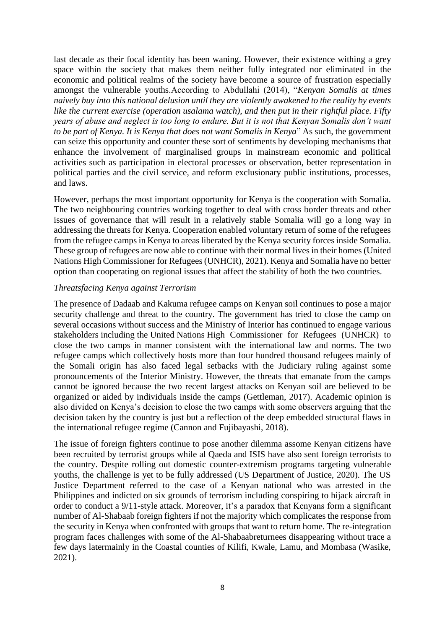last decade as their focal identity has been waning. However, their existence withing a grey space within the society that makes them neither fully integrated nor eliminated in the economic and political realms of the society have become a source of frustration especially amongst the vulnerable youths.According to Abdullahi (2014), "*Kenyan Somalis at times naively buy into this national delusion until they are violently awakened to the reality by events like the current exercise (operation usalama watch), and then put in their rightful place. Fifty years of abuse and neglect is too long to endure. But it is not that Kenyan Somalis don't want to be part of Kenya. It is Kenya that does not want Somalis in Kenya*" As such, the government can seize this opportunity and counter these sort of sentiments by developing mechanisms that enhance the involvement of marginalised groups in mainstream economic and political activities such as participation in electoral processes or observation, better representation in political parties and the civil service, and reform exclusionary public institutions, processes, and laws.

However, perhaps the most important opportunity for Kenya is the cooperation with Somalia. The two neighbouring countries working together to deal with cross border threats and other issues of governance that will result in a relatively stable Somalia will go a long way in addressing the threats for Kenya. Cooperation enabled voluntary return of some of the refugees from the refugee camps in Kenya to areas liberated by the Kenya security forces inside Somalia. These group of refugees are now able to continue with their normal lives in their homes (United Nations High Commissioner for Refugees (UNHCR), 2021). Kenya and Somalia have no better option than cooperating on regional issues that affect the stability of both the two countries.

# *Threatsfacing Kenya against Terrorism*

The presence of Dadaab and Kakuma refugee camps on Kenyan soil continues to pose a major security challenge and threat to the country. The government has tried to close the camp on several occasions without success and the Ministry of Interior has continued to engage various stakeholders including the United Nations High Commissioner for Refugees (UNHCR) to close the two camps in manner consistent with the international law and norms. The two refugee camps which collectively hosts more than four hundred thousand refugees mainly of the Somali origin has also faced legal setbacks with the Judiciary ruling against some pronouncements of the Interior Ministry. However, the threats that emanate from the camps cannot be ignored because the two recent largest attacks on Kenyan soil are believed to be organized or aided by individuals inside the camps (Gettleman, 2017). Academic opinion is also divided on Kenya's decision to close the two camps with some observers arguing that the decision taken by the country is just but a reflection of the deep embedded structural flaws in the international refugee regime (Cannon and Fujibayashi, 2018).

The issue of foreign fighters continue to pose another dilemma assome Kenyan citizens have been recruited by terrorist groups while al Qaeda and ISIS have also sent foreign terrorists to the country. Despite rolling out domestic counter-extremism programs targeting vulnerable youths, the challenge is yet to be fully addressed (US Department of Justice, 2020). The US Justice Department referred to the case of a Kenyan national who was arrested in the Philippines and indicted on six grounds of terrorism including conspiring to hijack aircraft in order to conduct a 9/11-style attack. Moreover, it's a paradox that Kenyans form a significant number of Al-Shabaab foreign fighters if not the majority which complicates the response from the security in Kenya when confronted with groups that want to return home. The re-integration program faces challenges with some of the Al-Shabaabreturnees disappearing without trace a few days latermainly in the Coastal counties of Kilifi, Kwale, Lamu, and Mombasa (Wasike, 2021).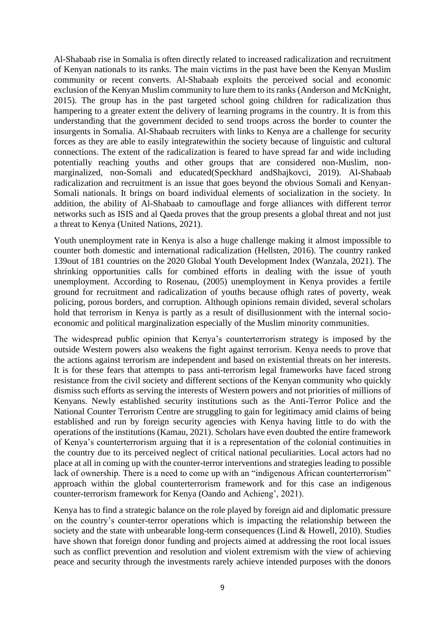Al-Shabaab rise in Somalia is often directly related to increased radicalization and recruitment of Kenyan nationals to its ranks. The main victims in the past have been the Kenyan Muslim community or recent converts. Al-Shabaab exploits the perceived social and economic exclusion of the Kenyan Muslim community to lure them to its ranks (Anderson and McKnight, 2015). The group has in the past targeted school going children for radicalization thus hampering to a greater extent the delivery of learning programs in the country. It is from this understanding that the government decided to send troops across the border to counter the insurgents in Somalia. Al-Shabaab recruiters with links to Kenya are a challenge for security forces as they are able to easily integratewithin the society because of linguistic and cultural connections. The extent of the radicalization is feared to have spread far and wide including potentially reaching youths and other groups that are considered non-Muslim, nonmarginalized, non-Somali and educated(Speckhard andShajkovci, 2019). Al-Shabaab radicalization and recruitment is an issue that goes beyond the obvious Somali and Kenyan-Somali nationals. It brings on board individual elements of socialization in the society. In addition, the ability of Al-Shabaab to camouflage and forge alliances with different terror networks such as ISIS and al Qaeda proves that the group presents a global threat and not just a threat to Kenya (United Nations, 2021).

Youth unemployment rate in Kenya is also a huge challenge making it almost impossible to counter both domestic and international radicalization (Hellsten, 2016). The country ranked 139out of 181 countries on the 2020 Global Youth Development Index (Wanzala, 2021). The shrinking opportunities calls for combined efforts in dealing with the issue of youth unemployment. According to Rosenau, (2005) unemployment in Kenya provides a fertile ground for recruitment and radicalization of youths because ofhigh rates of poverty, weak policing, porous borders, and corruption. Although opinions remain divided, several scholars hold that terrorism in Kenya is partly as a result of disillusionment with the internal socioeconomic and political marginalization especially of the Muslim minority communities.

The widespread public opinion that Kenya's counterterrorism strategy is imposed by the outside Western powers also weakens the fight against terrorism. Kenya needs to prove that the actions against terrorism are independent and based on existential threats on her interests. It is for these fears that attempts to pass anti-terrorism legal frameworks have faced strong resistance from the civil society and different sections of the Kenyan community who quickly dismiss such efforts as serving the interests of Western powers and not priorities of millions of Kenyans. Newly established security institutions such as the Anti-Terror Police and the National Counter Terrorism Centre are struggling to gain for legitimacy amid claims of being established and run by foreign security agencies with Kenya having little to do with the operations of the institutions (Kamau, 2021). Scholars have even doubted the entire framework of Kenya's counterterrorism arguing that it is a representation of the colonial continuities in the country due to its perceived neglect of critical national peculiarities. Local actors had no place at all in coming up with the counter-terror interventions and strategies leading to possible lack of ownership. There is a need to come up with an "indigenous African counterterrorism" approach within the global counterterrorism framework and for this case an indigenous counter-terrorism framework for Kenya (Oando and Achieng', 2021).

Kenya has to find a strategic balance on the role played by foreign aid and diplomatic pressure on the country's counter-terror operations which is impacting the relationship between the society and the state with unbearable long-term consequences (Lind & Howell, 2010). Studies have shown that foreign donor funding and projects aimed at addressing the root local issues such as conflict prevention and resolution and violent extremism with the view of achieving peace and security through the investments rarely achieve intended purposes with the donors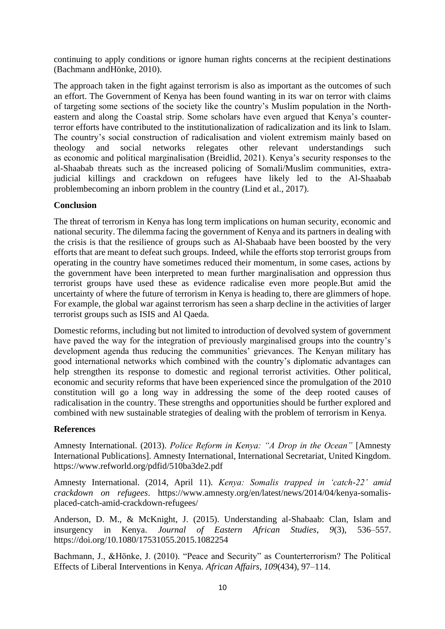continuing to apply conditions or ignore human rights concerns at the recipient destinations (Bachmann andHönke, 2010).

The approach taken in the fight against terrorism is also as important as the outcomes of such an effort. The Government of Kenya has been found wanting in its war on terror with claims of targeting some sections of the society like the country's Muslim population in the Northeastern and along the Coastal strip. Some scholars have even argued that Kenya's counterterror efforts have contributed to the institutionalization of radicalization and its link to Islam. The country's social construction of radicalisation and violent extremism mainly based on theology and social networks relegates other relevant understandings such as economic and political marginalisation (Breidlid, 2021). Kenya's security responses to the al-Shaabab threats such as the increased policing of Somali/Muslim communities, extrajudicial killings and crackdown on refugees have likely led to the Al-Shaabab problembecoming an inborn problem in the country (Lind et al., 2017).

# **Conclusion**

The threat of terrorism in Kenya has long term implications on human security, economic and national security. The dilemma facing the government of Kenya and its partners in dealing with the crisis is that the resilience of groups such as Al-Shabaab have been boosted by the very efforts that are meant to defeat such groups. Indeed, while the efforts stop terrorist groups from operating in the country have sometimes reduced their momentum, in some cases, actions by the government have been interpreted to mean further marginalisation and oppression thus terrorist groups have used these as evidence radicalise even more people.But amid the uncertainty of where the future of terrorism in Kenya is heading to, there are glimmers of hope. For example, the global war against terrorism has seen a sharp decline in the activities of larger terrorist groups such as ISIS and Al Qaeda.

Domestic reforms, including but not limited to introduction of devolved system of government have paved the way for the integration of previously marginalised groups into the country's development agenda thus reducing the communities' grievances. The Kenyan military has good international networks which combined with the country's diplomatic advantages can help strengthen its response to domestic and regional terrorist activities. Other political, economic and security reforms that have been experienced since the promulgation of the 2010 constitution will go a long way in addressing the some of the deep rooted causes of radicalisation in the country. These strengths and opportunities should be further explored and combined with new sustainable strategies of dealing with the problem of terrorism in Kenya.

# **References**

Amnesty International. (2013). *Police Reform in Kenya: "A Drop in the Ocean"* [Amnesty International Publications]. Amnesty International, International Secretariat, United Kingdom. <https://www.refworld.org/pdfid/510ba3de2.pdf>

Amnesty International. (2014, April 11). *Kenya: Somalis trapped in 'catch-22' amid crackdown on refugees*. https://www.amnesty.org/en/latest/news/2014/04/kenya-somalisplaced-catch-amid-crackdown-refugees/

Anderson, D. M., & McKnight, J. (2015). Understanding al-Shabaab: Clan, Islam and insurgency in Kenya. *Journal of Eastern African Studies*, *9*(3), 536–557. https://doi.org/10.1080/17531055.2015.1082254

Bachmann, J., &Hönke, J. (2010). "Peace and Security" as Counterterrorism? The Political Effects of Liberal Interventions in Kenya. *African Affairs*, *109*(434), 97–114.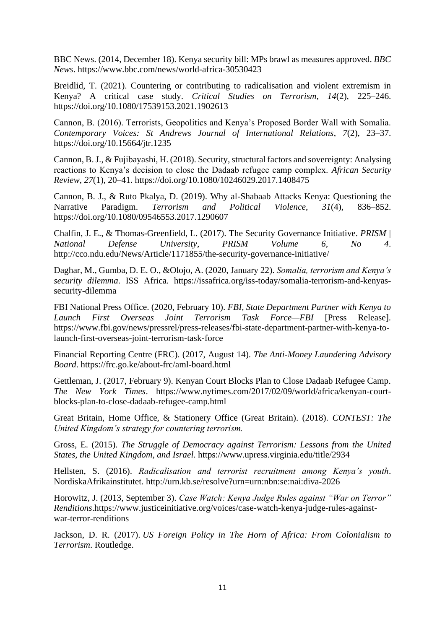BBC News. (2014, December 18). Kenya security bill: MPs brawl as measures approved. *BBC News*. https://www.bbc.com/news/world-africa-30530423

Breidlid, T. (2021). Countering or contributing to radicalisation and violent extremism in Kenya? A critical case study. *Critical Studies on Terrorism*, *14*(2), 225–246. https://doi.org/10.1080/17539153.2021.1902613

Cannon, B. (2016). Terrorists, Geopolitics and Kenya's Proposed Border Wall with Somalia. *Contemporary Voices: St Andrews Journal of International Relations*, *7*(2), 23–37. https://doi.org/10.15664/jtr.1235

Cannon, B. J., & Fujibayashi, H. (2018). Security, structural factors and sovereignty: Analysing reactions to Kenya's decision to close the Dadaab refugee camp complex. *African Security Review*, *27*(1), 20–41. https://doi.org/10.1080/10246029.2017.1408475

Cannon, B. J., & Ruto Pkalya, D. (2019). Why al-Shabaab Attacks Kenya: Questioning the Narrative Paradigm. *Terrorism and Political Violence*, *31*(4), 836–852. https://doi.org/10.1080/09546553.2017.1290607

Chalfin, J. E., & Thomas-Greenfield, L. (2017). The Security Governance Initiative. *PRISM | National Defense University*, *PRISM Volume 6, No 4*. http://cco.ndu.edu/News/Article/1171855/the-security-governance-initiative/

Daghar, M., Gumba, D. E. O., &Olojo, A. (2020, January 22). *Somalia, terrorism and Kenya's security dilemma*. ISS Africa. https://issafrica.org/iss-today/somalia-terrorism-and-kenyassecurity-dilemma

FBI National Press Office. (2020, February 10). *FBI, State Department Partner with Kenya to Launch First Overseas Joint Terrorism Task Force—FBI* [Press Release]. https://www.fbi.gov/news/pressrel/press-releases/fbi-state-department-partner-with-kenya-tolaunch-first-overseas-joint-terrorism-task-force

Financial Reporting Centre (FRC). (2017, August 14). *The Anti-Money Laundering Advisory Board*. https://frc.go.ke/about-frc/aml-board.html

Gettleman, J. (2017, February 9). Kenyan Court Blocks Plan to Close Dadaab Refugee Camp. *The New York Times*. https://www.nytimes.com/2017/02/09/world/africa/kenyan-courtblocks-plan-to-close-dadaab-refugee-camp.html

Great Britain, Home Office, & Stationery Office (Great Britain). (2018). *CONTEST: The United Kingdom's strategy for countering terrorism.*

Gross, E. (2015). *The Struggle of Democracy against Terrorism: Lessons from the United States, the United Kingdom, and Israel*. https://www.upress.virginia.edu/title/2934

Hellsten, S. (2016). *Radicalisation and terrorist recruitment among Kenya's youth*. NordiskaAfrikainstitutet.<http://urn.kb.se/resolve?urn=urn:nbn:se:nai:diva-2026>

Horowitz, J. (2013, September 3). *Case Watch: Kenya Judge Rules against "War on Terror" Renditions*[.https://www.justiceinitiative.org/voices/case-watch-kenya-judge-rules-against](https://www.justiceinitiative.org/voices/case-watch-kenya-judge-rules-against-war-terror-renditions)[war-terror-renditions](https://www.justiceinitiative.org/voices/case-watch-kenya-judge-rules-against-war-terror-renditions)

Jackson, D. R. (2017). *US Foreign Policy in The Horn of Africa: From Colonialism to Terrorism*. Routledge.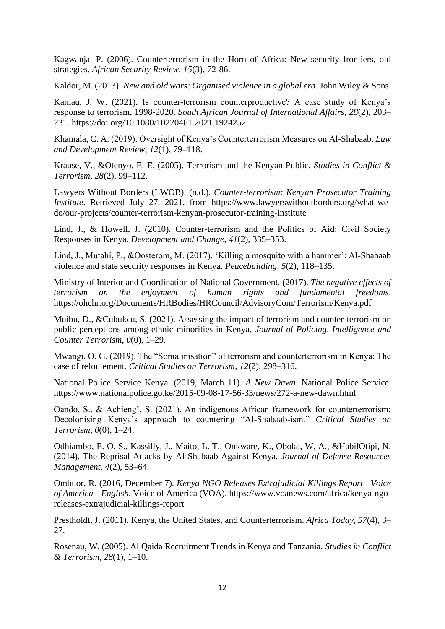Kagwanja, P. (2006). Counterterrorism in the Horn of Africa: New security frontiers, old strategies. *African Security Review*, *15*(3), 72-86.

Kaldor, M. (2013). *New and old wars: Organised violence in a global era*. John Wiley & Sons.

Kamau, J. W. (2021). Is counter-terrorism counterproductive? A case study of Kenya's response to terrorism, 1998-2020. *South African Journal of International Affairs*, *28*(2), 203– 231. https://doi.org/10.1080/10220461.2021.1924252

Khamala, C. A. (2019). Oversight of Kenya's Counterterrorism Measures on Al-Shabaab. *Law and Development Review*, *12*(1), 79–118.

Krause, V., &Otenyo, E. E. (2005). Terrorism and the Kenyan Public. *Studies in Conflict & Terrorism*, *28*(2), 99–112.

Lawyers Without Borders (LWOB). (n.d.). *Counter-terrorism: Kenyan Prosecutor Training Institute*. Retrieved July 27, 2021, from https://www.lawyerswithoutborders.org/what-wedo/our-projects/counter-terrorism-kenyan-prosecutor-training-institute

Lind, J., & Howell, J. (2010). Counter-terrorism and the Politics of Aid: Civil Society Responses in Kenya. *Development and Change*, *41*(2), 335–353.

Lind, J., Mutahi, P., &Oosterom, M. (2017). 'Killing a mosquito with a hammer': Al-Shabaab violence and state security responses in Kenya. *Peacebuilding*, *5*(2), 118–135.

Ministry of Interior and Coordination of National Government. (2017). *The negative effects of terrorism on the enjoyment of human rights and fundamental freedoms*. https://ohchr.org/Documents/HRBodies/HRCouncil/AdvisoryCom/Terrorism/Kenya.pdf

Muibu, D., &Cubukcu, S. (2021). Assessing the impact of terrorism and counter-terrorism on public perceptions among ethnic minorities in Kenya. *Journal of Policing, Intelligence and Counter Terrorism*, *0*(0), 1–29.

Mwangi, O. G. (2019). The "Somalinisation" of terrorism and counterterrorism in Kenya: The case of refoulement. *Critical Studies on Terrorism*, *12*(2), 298–316.

National Police Service Kenya. (2019, March 11). *A New Dawn*. National Police Service. https://www.nationalpolice.go.ke/2015-09-08-17-56-33/news/272-a-new-dawn.html

Oando, S., & Achieng', S. (2021). An indigenous African framework for counterterrorism: Decolonising Kenya's approach to countering "Al-Shabaab-ism." *Critical Studies on Terrorism*, *0*(0), 1–24.

Odhiambo, E. O. S., Kassilly, J., Maito, L. T., Onkware, K., Oboka, W. A., &HabilOtipi, N. (2014). The Reprisal Attacks by Al-Shabaab Against Kenya. *Journal of Defense Resources Management*, *4*(2), 53–64.

Ombuor, R. (2016, December 7). *Kenya NGO Releases Extrajudicial Killings Report | Voice of America—English*. Voice of America (VOA). https://www.voanews.com/africa/kenya-ngoreleases-extrajudicial-killings-report

Prestholdt, J. (2011). Kenya, the United States, and Counterterrorism. *Africa Today*, *57*(4), 3– 27.

Rosenau, W. (2005). Al Qaida Recruitment Trends in Kenya and Tanzania. *Studies in Conflict & Terrorism*, *28*(1), 1–10.